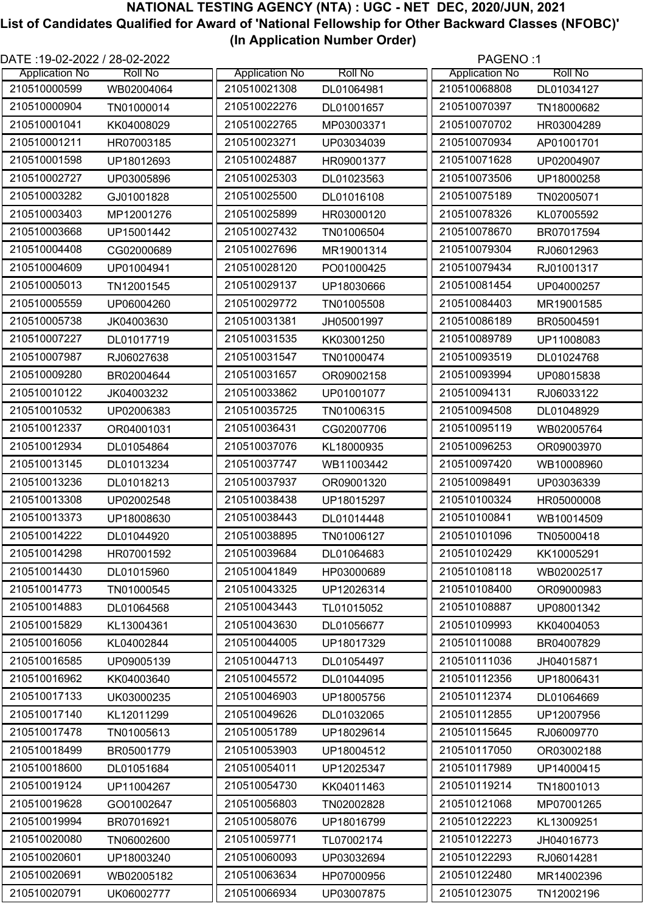| DATE: 19-02-2022 / 28-02-2022<br>PAGENO:1 |                |                       |                |                       |                |
|-------------------------------------------|----------------|-----------------------|----------------|-----------------------|----------------|
| <b>Application No</b>                     | <b>Roll No</b> | <b>Application No</b> | <b>Roll No</b> | <b>Application No</b> | <b>Roll No</b> |
| 210510000599                              | WB02004064     | 210510021308          | DL01064981     | 210510068808          | DL01034127     |
| 210510000904                              | TN01000014     | 210510022276          | DL01001657     | 210510070397          | TN18000682     |
| 210510001041                              | KK04008029     | 210510022765          | MP03003371     | 210510070702          | HR03004289     |
| 210510001211                              | HR07003185     | 210510023271          | UP03034039     | 210510070934          | AP01001701     |
| 210510001598                              | UP18012693     | 210510024887          | HR09001377     | 210510071628          | UP02004907     |
| 210510002727                              | UP03005896     | 210510025303          | DL01023563     | 210510073506          | UP18000258     |
| 210510003282                              | GJ01001828     | 210510025500          | DL01016108     | 210510075189          | TN02005071     |
| 210510003403                              | MP12001276     | 210510025899          | HR03000120     | 210510078326          | KL07005592     |
| 210510003668                              | UP15001442     | 210510027432          | TN01006504     | 210510078670          | BR07017594     |
| 210510004408                              | CG02000689     | 210510027696          | MR19001314     | 210510079304          | RJ06012963     |
| 210510004609                              | UP01004941     | 210510028120          | PO01000425     | 210510079434          | RJ01001317     |
| 210510005013                              | TN12001545     | 210510029137          | UP18030666     | 210510081454          | UP04000257     |
| 210510005559                              | UP06004260     | 210510029772          | TN01005508     | 210510084403          | MR19001585     |
| 210510005738                              | JK04003630     | 210510031381          | JH05001997     | 210510086189          | BR05004591     |
| 210510007227                              | DL01017719     | 210510031535          | KK03001250     | 210510089789          | UP11008083     |
| 210510007987                              | RJ06027638     | 210510031547          | TN01000474     | 210510093519          | DL01024768     |
| 210510009280                              | BR02004644     | 210510031657          | OR09002158     | 210510093994          | UP08015838     |
| 210510010122                              | JK04003232     | 210510033862          | UP01001077     | 210510094131          | RJ06033122     |
| 210510010532                              | UP02006383     | 210510035725          | TN01006315     | 210510094508          | DL01048929     |
| 210510012337                              | OR04001031     | 210510036431          | CG02007706     | 210510095119          | WB02005764     |
| 210510012934                              | DL01054864     | 210510037076          | KL18000935     | 210510096253          | OR09003970     |
| 210510013145                              | DL01013234     | 210510037747          | WB11003442     | 210510097420          | WB10008960     |
| 210510013236                              | DL01018213     | 210510037937          | OR09001320     | 210510098491          | UP03036339     |
| 210510013308                              | UP02002548     | 210510038438          | UP18015297     | 210510100324          | HR05000008     |
| 210510013373                              | UP18008630     | 210510038443          | DL01014448     | 210510100841          | WB10014509     |
| 210510014222                              | DL01044920     | 210510038895          | TN01006127     | 210510101096          | TN05000418     |
| 210510014298                              | HR07001592     | 210510039684          | DL01064683     | 210510102429          | KK10005291     |
| 210510014430                              | DL01015960     | 210510041849          | HP03000689     | 210510108118          | WB02002517     |
| 210510014773                              | TN01000545     | 210510043325          | UP12026314     | 210510108400          | OR09000983     |
| 210510014883                              | DL01064568     | 210510043443          | TL01015052     | 210510108887          | UP08001342     |
| 210510015829                              | KL13004361     | 210510043630          | DL01056677     | 210510109993          | KK04004053     |
| 210510016056                              | KL04002844     | 210510044005          | UP18017329     | 210510110088          | BR04007829     |
| 210510016585                              | UP09005139     | 210510044713          | DL01054497     | 210510111036          | JH04015871     |
| 210510016962                              | KK04003640     | 210510045572          | DL01044095     | 210510112356          | UP18006431     |
| 210510017133                              | UK03000235     | 210510046903          | UP18005756     | 210510112374          | DL01064669     |
| 210510017140                              | KL12011299     | 210510049626          | DL01032065     | 210510112855          | UP12007956     |
| 210510017478                              | TN01005613     | 210510051789          | UP18029614     | 210510115645          | RJ06009770     |
| 210510018499                              | BR05001779     | 210510053903          | UP18004512     | 210510117050          | OR03002188     |
| 210510018600                              |                | 210510054011          |                | 210510117989          |                |
| 210510019124                              | DL01051684     | 210510054730          | UP12025347     | 210510119214          | UP14000415     |
|                                           | UP11004267     |                       | KK04011463     |                       | TN18001013     |
| 210510019628                              | GO01002647     | 210510056803          | TN02002828     | 210510121068          | MP07001265     |
| 210510019994                              | BR07016921     | 210510058076          | UP18016799     | 210510122223          | KL13009251     |
| 210510020080                              | TN06002600     | 210510059771          | TL07002174     | 210510122273          | JH04016773     |
| 210510020601                              | UP18003240     | 210510060093          | UP03032694     | 210510122293          | RJ06014281     |
| 210510020691                              | WB02005182     | 210510063634          | HP07000956     | 210510122480          | MR14002396     |
| 210510020791                              | UK06002777     | 210510066934          | UP03007875     | 210510123075          | TN12002196     |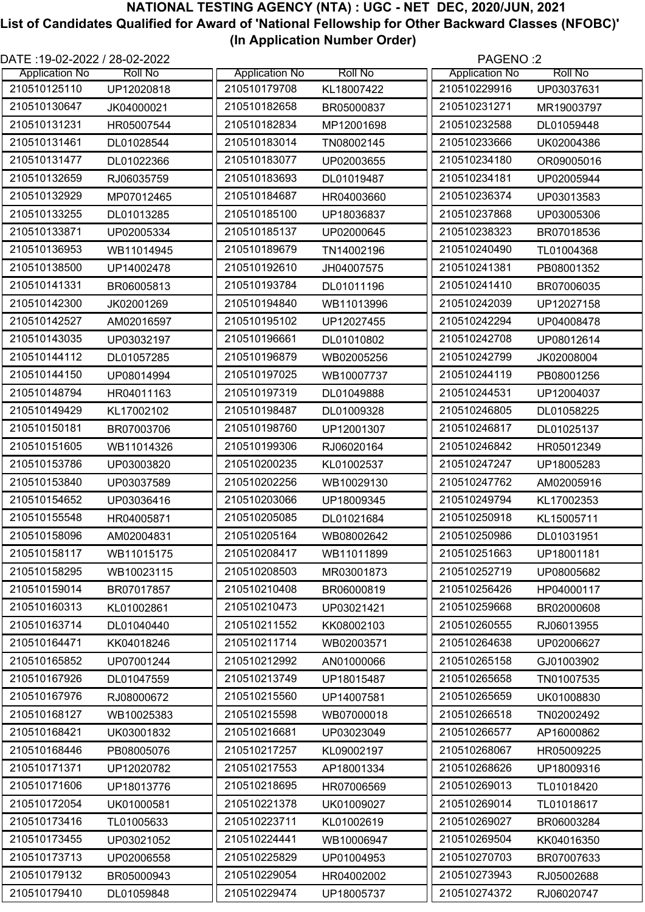| DATE :19-02-2022 / 28-02-2022 |                |                       |                | PAGENO:2              |                |
|-------------------------------|----------------|-----------------------|----------------|-----------------------|----------------|
| <b>Application No</b>         | <b>Roll No</b> | <b>Application No</b> | <b>Roll No</b> | <b>Application No</b> | <b>Roll No</b> |
| 210510125110                  | UP12020818     | 210510179708          | KL18007422     | 210510229916          | UP03037631     |
| 210510130647                  | JK04000021     | 210510182658          | BR05000837     | 210510231271          | MR19003797     |
| 210510131231                  | HR05007544     | 210510182834          | MP12001698     | 210510232588          | DL01059448     |
| 210510131461                  | DL01028544     | 210510183014          | TN08002145     | 210510233666          | UK02004386     |
| 210510131477                  | DL01022366     | 210510183077          | UP02003655     | 210510234180          | OR09005016     |
| 210510132659                  | RJ06035759     | 210510183693          | DL01019487     | 210510234181          | UP02005944     |
| 210510132929                  | MP07012465     | 210510184687          | HR04003660     | 210510236374          | UP03013583     |
| 210510133255                  | DL01013285     | 210510185100          | UP18036837     | 210510237868          | UP03005306     |
| 210510133871                  | UP02005334     | 210510185137          | UP02000645     | 210510238323          | BR07018536     |
| 210510136953                  | WB11014945     | 210510189679          | TN14002196     | 210510240490          | TL01004368     |
| 210510138500                  | UP14002478     | 210510192610          | JH04007575     | 210510241381          | PB08001352     |
| 210510141331                  | BR06005813     | 210510193784          | DL01011196     | 210510241410          | BR07006035     |
| 210510142300                  | JK02001269     | 210510194840          | WB11013996     | 210510242039          | UP12027158     |
| 210510142527                  | AM02016597     | 210510195102          | UP12027455     | 210510242294          | UP04008478     |
| 210510143035                  | UP03032197     | 210510196661          | DL01010802     | 210510242708          | UP08012614     |
| 210510144112                  | DL01057285     | 210510196879          | WB02005256     | 210510242799          | JK02008004     |
| 210510144150                  | UP08014994     | 210510197025          | WB10007737     | 210510244119          | PB08001256     |
| 210510148794                  | HR04011163     | 210510197319          | DL01049888     | 210510244531          | UP12004037     |
| 210510149429                  | KL17002102     | 210510198487          | DL01009328     | 210510246805          | DL01058225     |
| 210510150181                  | BR07003706     | 210510198760          | UP12001307     | 210510246817          | DL01025137     |
| 210510151605                  | WB11014326     | 210510199306          | RJ06020164     | 210510246842          | HR05012349     |
| 210510153786                  | UP03003820     | 210510200235          | KL01002537     | 210510247247          | UP18005283     |
| 210510153840                  | UP03037589     | 210510202256          | WB10029130     | 210510247762          | AM02005916     |
| 210510154652                  | UP03036416     | 210510203066          | UP18009345     | 210510249794          | KL17002353     |
| 210510155548                  | HR04005871     | 210510205085          | DL01021684     | 210510250918          | KL15005711     |
| 210510158096                  | AM02004831     | 210510205164          | WB08002642     | 210510250986          | DL01031951     |
| 210510158117                  | WB11015175     | 210510208417          | WB11011899     | 210510251663          | UP18001181     |
| 210510158295                  | WB10023115     | 210510208503          | MR03001873     | 210510252719          | UP08005682     |
| 210510159014                  | BR07017857     | 210510210408          | BR06000819     | 210510256426          | HP04000117     |
| 210510160313                  | KL01002861     | 210510210473          | UP03021421     | 210510259668          | BR02000608     |
| 210510163714                  | DL01040440     | 210510211552          | KK08002103     | 210510260555          | RJ06013955     |
| 210510164471                  | KK04018246     | 210510211714          | WB02003571     | 210510264638          | UP02006627     |
| 210510165852                  | UP07001244     | 210510212992          | AN01000066     | 210510265158          | GJ01003902     |
| 210510167926                  | DL01047559     | 210510213749          | UP18015487     | 210510265658          | TN01007535     |
| 210510167976                  | RJ08000672     | 210510215560          | UP14007581     | 210510265659          | UK01008830     |
| 210510168127                  | WB10025383     | 210510215598          | WB07000018     | 210510266518          | TN02002492     |
| 210510168421                  |                | 210510216681          |                | 210510266577          |                |
| 210510168446                  | UK03001832     | 210510217257          | UP03023049     | 210510268067          | AP16000862     |
| 210510171371                  | PB08005076     | 210510217553          | KL09002197     | 210510268626          | HR05009225     |
|                               | UP12020782     |                       | AP18001334     |                       | UP18009316     |
| 210510171606                  | UP18013776     | 210510218695          | HR07006569     | 210510269013          | TL01018420     |
| 210510172054                  | UK01000581     | 210510221378          | UK01009027     | 210510269014          | TL01018617     |
| 210510173416                  | TL01005633     | 210510223711          | KL01002619     | 210510269027          | BR06003284     |
| 210510173455                  | UP03021052     | 210510224441          | WB10006947     | 210510269504          | KK04016350     |
| 210510173713                  | UP02006558     | 210510225829          | UP01004953     | 210510270703          | BR07007633     |
| 210510179132                  | BR05000943     | 210510229054          | HR04002002     | 210510273943          | RJ05002688     |
| 210510179410                  | DL01059848     | 210510229474          | UP18005737     | 210510274372          | RJ06020747     |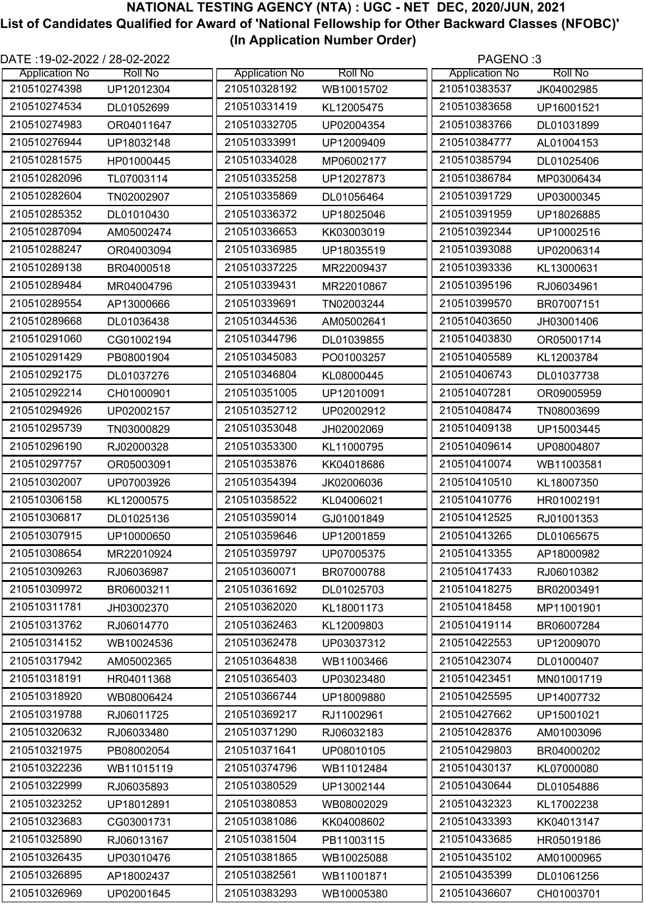| DATE :19-02-2022 / 28-02-2022 |                |                       | PAGENO:3       |                       |                |
|-------------------------------|----------------|-----------------------|----------------|-----------------------|----------------|
| <b>Application No</b>         | <b>Roll No</b> | <b>Application No</b> | <b>Roll No</b> | <b>Application No</b> | <b>Roll No</b> |
| 210510274398                  | UP12012304     | 210510328192          | WB10015702     | 210510383537          | JK04002985     |
| 210510274534                  | DL01052699     | 210510331419          | KL12005475     | 210510383658          | UP16001521     |
| 210510274983                  | OR04011647     | 210510332705          | UP02004354     | 210510383766          | DL01031899     |
| 210510276944                  | UP18032148     | 210510333991          | UP12009409     | 210510384777          | AL01004153     |
| 210510281575                  | HP01000445     | 210510334028          | MP06002177     | 210510385794          | DL01025406     |
| 210510282096                  | TL07003114     | 210510335258          | UP12027873     | 210510386784          | MP03006434     |
| 210510282604                  | TN02002907     | 210510335869          | DL01056464     | 210510391729          | UP03000345     |
| 210510285352                  | DL01010430     | 210510336372          | UP18025046     | 210510391959          | UP18026885     |
| 210510287094                  | AM05002474     | 210510336653          | KK03003019     | 210510392344          | UP10002516     |
| 210510288247                  | OR04003094     | 210510336985          | UP18035519     | 210510393088          | UP02006314     |
| 210510289138                  | BR04000518     | 210510337225          | MR22009437     | 210510393336          | KL13000631     |
| 210510289484                  | MR04004796     | 210510339431          | MR22010867     | 210510395196          | RJ06034961     |
| 210510289554                  | AP13000666     | 210510339691          | TN02003244     | 210510399570          | BR07007151     |
| 210510289668                  | DL01036438     | 210510344536          | AM05002641     | 210510403650          | JH03001406     |
| 210510291060                  | CG01002194     | 210510344796          | DL01039855     | 210510403830          | OR05001714     |
| 210510291429                  | PB08001904     | 210510345083          | PO01003257     | 210510405589          | KL12003784     |
| 210510292175                  | DL01037276     | 210510346804          | KL08000445     | 210510406743          | DL01037738     |
| 210510292214                  | CH01000901     | 210510351005          | UP12010091     | 210510407281          | OR09005959     |
| 210510294926                  | UP02002157     | 210510352712          | UP02002912     | 210510408474          | TN08003699     |
| 210510295739                  | TN03000829     | 210510353048          | JH02002069     | 210510409138          | UP15003445     |
| 210510296190                  | RJ02000328     | 210510353300          | KL11000795     | 210510409614          | UP08004807     |
| 210510297757                  | OR05003091     | 210510353876          | KK04018686     | 210510410074          | WB11003581     |
| 210510302007                  | UP07003926     | 210510354394          | JK02006036     | 210510410510          | KL18007350     |
| 210510306158                  | KL12000575     | 210510358522          | KL04006021     | 210510410776          | HR01002191     |
| 210510306817                  | DL01025136     | 210510359014          | GJ01001849     | 210510412525          | RJ01001353     |
| 210510307915                  | UP10000650     | 210510359646          | UP12001859     | 210510413265          | DL01065675     |
| 210510308654                  | MR22010924     | 210510359797          | UP07005375     | 210510413355          | AP18000982     |
| 210510309263                  | RJ06036987     | 210510360071          | BR07000788     | 210510417433          | RJ06010382     |
| 210510309972                  | BR06003211     | 210510361692          | DL01025703     | 210510418275          | BR02003491     |
| 210510311781                  | JH03002370     | 210510362020          | KL18001173     | 210510418458          | MP11001901     |
| 210510313762                  | RJ06014770     | 210510362463          | KL12009803     | 210510419114          | BR06007284     |
| 210510314152                  | WB10024536     | 210510362478          | UP03037312     | 210510422553          | UP12009070     |
| 210510317942                  | AM05002365     | 210510364838          | WB11003466     | 210510423074          | DL01000407     |
| 210510318191                  | HR04011368     | 210510365403          | UP03023480     | 210510423451          | MN01001719     |
| 210510318920                  | WB08006424     | 210510366744          | UP18009880     | 210510425595          | UP14007732     |
| 210510319788                  | RJ06011725     | 210510369217          | RJ11002961     | 210510427662          | UP15001021     |
| 210510320632                  | RJ06033480     | 210510371290          | RJ06032183     | 210510428376          | AM01003096     |
| 210510321975                  | PB08002054     | 210510371641          | UP08010105     | 210510429803          | BR04000202     |
| 210510322236                  | WB11015119     | 210510374796          | WB11012484     | 210510430137          | KL07000080     |
| 210510322999                  | RJ06035893     | 210510380529          | UP13002144     | 210510430644          | DL01054886     |
| 210510323252                  | UP18012891     | 210510380853          | WB08002029     | 210510432323          | KL17002238     |
| 210510323683                  | CG03001731     | 210510381086          | KK04008602     | 210510433393          | KK04013147     |
| 210510325890                  | RJ06013167     | 210510381504          | PB11003115     | 210510433685          | HR05019186     |
| 210510326435                  | UP03010476     | 210510381865          | WB10025088     | 210510435102          | AM01000965     |
| 210510326895                  | AP18002437     | 210510382561          | WB11001871     | 210510435399          | DL01061256     |
| 210510326969                  | UP02001645     | 210510383293          | WB10005380     | 210510436607          | CH01003701     |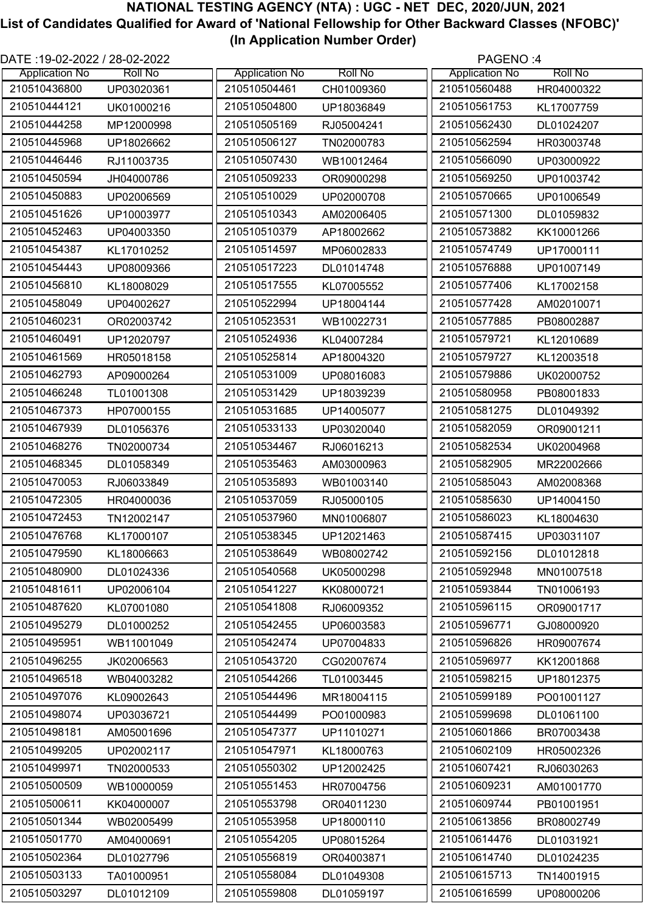| DATE :19-02-2022 / 28-02-2022<br>PAGENO:4 |                |                       |                |                       |                |
|-------------------------------------------|----------------|-----------------------|----------------|-----------------------|----------------|
| <b>Application No</b>                     | <b>Roll No</b> | <b>Application No</b> | <b>Roll No</b> | <b>Application No</b> | <b>Roll No</b> |
| 210510436800                              | UP03020361     | 210510504461          | CH01009360     | 210510560488          | HR04000322     |
| 210510444121                              | UK01000216     | 210510504800          | UP18036849     | 210510561753          | KL17007759     |
| 210510444258                              | MP12000998     | 210510505169          | RJ05004241     | 210510562430          | DL01024207     |
| 210510445968                              | UP18026662     | 210510506127          | TN02000783     | 210510562594          | HR03003748     |
| 210510446446                              | RJ11003735     | 210510507430          | WB10012464     | 210510566090          | UP03000922     |
| 210510450594                              | JH04000786     | 210510509233          | OR09000298     | 210510569250          | UP01003742     |
| 210510450883                              | UP02006569     | 210510510029          | UP02000708     | 210510570665          | UP01006549     |
| 210510451626                              | UP10003977     | 210510510343          | AM02006405     | 210510571300          | DL01059832     |
| 210510452463                              | UP04003350     | 210510510379          | AP18002662     | 210510573882          | KK10001266     |
| 210510454387                              | KL17010252     | 210510514597          | MP06002833     | 210510574749          | UP17000111     |
| 210510454443                              | UP08009366     | 210510517223          | DL01014748     | 210510576888          | UP01007149     |
| 210510456810                              | KL18008029     | 210510517555          | KL07005552     | 210510577406          | KL17002158     |
| 210510458049                              | UP04002627     | 210510522994          | UP18004144     | 210510577428          | AM02010071     |
| 210510460231                              | OR02003742     | 210510523531          | WB10022731     | 210510577885          | PB08002887     |
| 210510460491                              | UP12020797     | 210510524936          | KL04007284     | 210510579721          | KL12010689     |
| 210510461569                              | HR05018158     | 210510525814          | AP18004320     | 210510579727          | KL12003518     |
| 210510462793                              | AP09000264     | 210510531009          | UP08016083     | 210510579886          | UK02000752     |
| 210510466248                              | TL01001308     | 210510531429          | UP18039239     | 210510580958          | PB08001833     |
| 210510467373                              | HP07000155     | 210510531685          | UP14005077     | 210510581275          | DL01049392     |
| 210510467939                              | DL01056376     | 210510533133          | UP03020040     | 210510582059          | OR09001211     |
| 210510468276                              | TN02000734     | 210510534467          | RJ06016213     | 210510582534          | UK02004968     |
| 210510468345                              | DL01058349     | 210510535463          | AM03000963     | 210510582905          | MR22002666     |
| 210510470053                              | RJ06033849     | 210510535893          | WB01003140     | 210510585043          | AM02008368     |
| 210510472305                              | HR04000036     | 210510537059          | RJ05000105     | 210510585630          | UP14004150     |
| 210510472453                              | TN12002147     | 210510537960          | MN01006807     | 210510586023          | KL18004630     |
| 210510476768                              | KL17000107     | 210510538345          | UP12021463     | 210510587415          | UP03031107     |
| 210510479590                              | KL18006663     | 210510538649          | WB08002742     | 210510592156          | DL01012818     |
| 210510480900                              | DL01024336     | 210510540568          | UK05000298     | 210510592948          | MN01007518     |
| 210510481611                              | UP02006104     | 210510541227          | KK08000721     | 210510593844          | TN01006193     |
| 210510487620                              | KL07001080     | 210510541808          | RJ06009352     | 210510596115          | OR09001717     |
| 210510495279                              | DL01000252     | 210510542455          | UP06003583     | 210510596771          | GJ08000920     |
| 210510495951                              | WB11001049     | 210510542474          | UP07004833     | 210510596826          | HR09007674     |
| 210510496255                              | JK02006563     | 210510543720          | CG02007674     | 210510596977          | KK12001868     |
| 210510496518                              | WB04003282     | 210510544266          | TL01003445     | 210510598215          | UP18012375     |
| 210510497076                              | KL09002643     | 210510544496          | MR18004115     | 210510599189          | PO01001127     |
| 210510498074                              | UP03036721     | 210510544499          | PO01000983     | 210510599698          | DL01061100     |
| 210510498181                              | AM05001696     | 210510547377          | UP11010271     | 210510601866          | BR07003438     |
| 210510499205                              |                | 210510547971          |                | 210510602109          |                |
| 210510499971                              | UP02002117     | 210510550302          | KL18000763     | 210510607421          | HR05002326     |
| 210510500509                              | TN02000533     | 210510551453          | UP12002425     | 210510609231          | RJ06030263     |
|                                           | WB10000059     |                       | HR07004756     |                       | AM01001770     |
| 210510500611                              | KK04000007     | 210510553798          | OR04011230     | 210510609744          | PB01001951     |
| 210510501344                              | WB02005499     | 210510553958          | UP18000110     | 210510613856          | BR08002749     |
| 210510501770                              | AM04000691     | 210510554205          | UP08015264     | 210510614476          | DL01031921     |
| 210510502364                              | DL01027796     | 210510556819          | OR04003871     | 210510614740          | DL01024235     |
| 210510503133                              | TA01000951     | 210510558084          | DL01049308     | 210510615713          | TN14001915     |
| 210510503297                              | DL01012109     | 210510559808          | DL01059197     | 210510616599          | UP08000206     |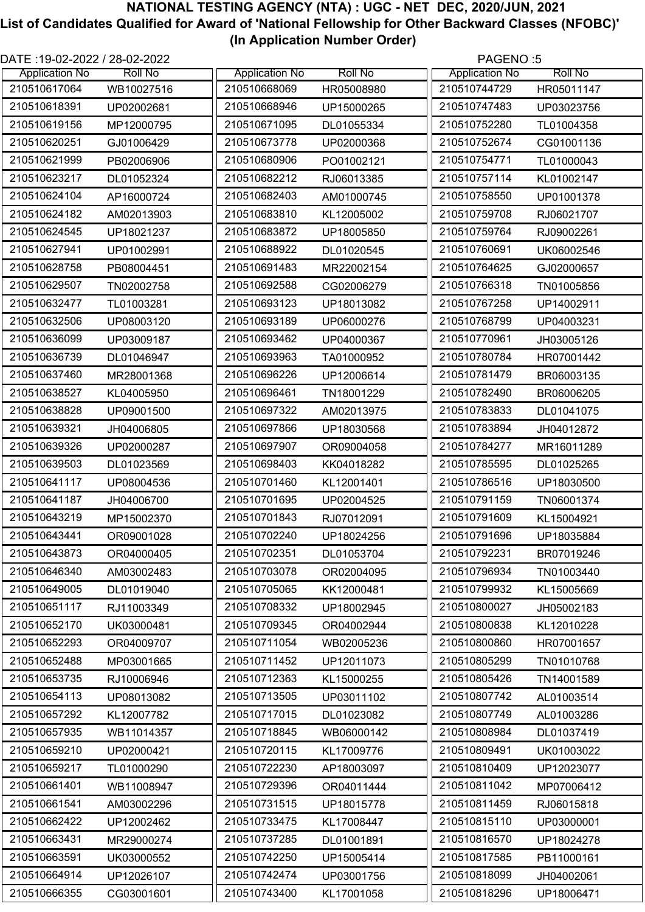| DATE :19-02-2022 / 28-02-2022<br>PAGENO:5 |                |                       |                |                       |                |
|-------------------------------------------|----------------|-----------------------|----------------|-----------------------|----------------|
| <b>Application No</b>                     | <b>Roll No</b> | <b>Application No</b> | <b>Roll No</b> | <b>Application No</b> | <b>Roll No</b> |
| 210510617064                              | WB10027516     | 210510668069          | HR05008980     | 210510744729          | HR05011147     |
| 210510618391                              | UP02002681     | 210510668946          | UP15000265     | 210510747483          | UP03023756     |
| 210510619156                              | MP12000795     | 210510671095          | DL01055334     | 210510752280          | TL01004358     |
| 210510620251                              | GJ01006429     | 210510673778          | UP02000368     | 210510752674          | CG01001136     |
| 210510621999                              | PB02006906     | 210510680906          | PO01002121     | 210510754771          | TL01000043     |
| 210510623217                              | DL01052324     | 210510682212          | RJ06013385     | 210510757114          | KL01002147     |
| 210510624104                              | AP16000724     | 210510682403          | AM01000745     | 210510758550          | UP01001378     |
| 210510624182                              | AM02013903     | 210510683810          | KL12005002     | 210510759708          | RJ06021707     |
| 210510624545                              | UP18021237     | 210510683872          | UP18005850     | 210510759764          | RJ09002261     |
| 210510627941                              | UP01002991     | 210510688922          | DL01020545     | 210510760691          | UK06002546     |
| 210510628758                              | PB08004451     | 210510691483          | MR22002154     | 210510764625          | GJ02000657     |
| 210510629507                              | TN02002758     | 210510692588          | CG02006279     | 210510766318          | TN01005856     |
| 210510632477                              | TL01003281     | 210510693123          | UP18013082     | 210510767258          | UP14002911     |
| 210510632506                              | UP08003120     | 210510693189          | UP06000276     | 210510768799          | UP04003231     |
| 210510636099                              | UP03009187     | 210510693462          | UP04000367     | 210510770961          | JH03005126     |
| 210510636739                              | DL01046947     | 210510693963          | TA01000952     | 210510780784          | HR07001442     |
| 210510637460                              | MR28001368     | 210510696226          | UP12006614     | 210510781479          | BR06003135     |
| 210510638527                              | KL04005950     | 210510696461          | TN18001229     | 210510782490          | BR06006205     |
| 210510638828                              | UP09001500     | 210510697322          | AM02013975     | 210510783833          | DL01041075     |
| 210510639321                              | JH04006805     | 210510697866          | UP18030568     | 210510783894          | JH04012872     |
| 210510639326                              | UP02000287     | 210510697907          | OR09004058     | 210510784277          | MR16011289     |
| 210510639503                              | DL01023569     | 210510698403          | KK04018282     | 210510785595          | DL01025265     |
| 210510641117                              | UP08004536     | 210510701460          | KL12001401     | 210510786516          | UP18030500     |
| 210510641187                              | JH04006700     | 210510701695          | UP02004525     | 210510791159          | TN06001374     |
| 210510643219                              | MP15002370     | 210510701843          | RJ07012091     | 210510791609          | KL15004921     |
| 210510643441                              | OR09001028     | 210510702240          | UP18024256     | 210510791696          | UP18035884     |
| 210510643873                              | OR04000405     | 210510702351          | DL01053704     | 210510792231          | BR07019246     |
| 210510646340                              | AM03002483     | 210510703078          | OR02004095     | 210510796934          | TN01003440     |
| 210510649005                              | DL01019040     | 210510705065          | KK12000481     | 210510799932          | KL15005669     |
| 210510651117                              | RJ11003349     | 210510708332          | UP18002945     | 210510800027          | JH05002183     |
| 210510652170                              | UK03000481     | 210510709345          | OR04002944     | 210510800838          | KL12010228     |
| 210510652293                              | OR04009707     | 210510711054          | WB02005236     | 210510800860          | HR07001657     |
| 210510652488                              | MP03001665     | 210510711452          | UP12011073     | 210510805299          | TN01010768     |
| 210510653735                              | RJ10006946     | 210510712363          | KL15000255     | 210510805426          | TN14001589     |
| 210510654113                              | UP08013082     | 210510713505          | UP03011102     | 210510807742          | AL01003514     |
| 210510657292                              | KL12007782     | 210510717015          | DL01023082     | 210510807749          | AL01003286     |
| 210510657935                              | WB11014357     | 210510718845          | WB06000142     | 210510808984          | DL01037419     |
| 210510659210                              | UP02000421     | 210510720115          | KL17009776     | 210510809491          | UK01003022     |
| 210510659217                              | TL01000290     | 210510722230          | AP18003097     | 210510810409          | UP12023077     |
| 210510661401                              | WB11008947     | 210510729396          | OR04011444     | 210510811042          | MP07006412     |
| 210510661541                              | AM03002296     | 210510731515          | UP18015778     | 210510811459          | RJ06015818     |
| 210510662422                              | UP12002462     | 210510733475          | KL17008447     | 210510815110          | UP03000001     |
| 210510663431                              | MR29000274     | 210510737285          | DL01001891     | 210510816570          | UP18024278     |
| 210510663591                              | UK03000552     | 210510742250          | UP15005414     | 210510817585          | PB11000161     |
| 210510664914                              | UP12026107     | 210510742474          | UP03001756     | 210510818099          | JH04002061     |
| 210510666355                              | CG03001601     | 210510743400          | KL17001058     | 210510818296          | UP18006471     |
|                                           |                |                       |                |                       |                |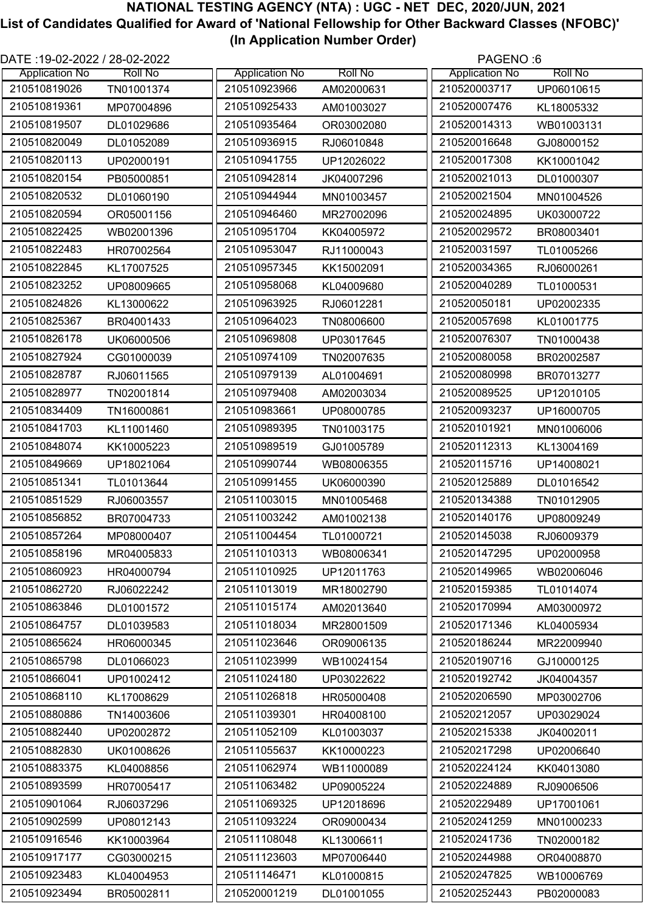| DATE :19-02-2022 / 28-02-2022 |                |                       |                | PAGENO:6              |                |
|-------------------------------|----------------|-----------------------|----------------|-----------------------|----------------|
| <b>Application No</b>         | <b>Roll No</b> | <b>Application No</b> | <b>Roll No</b> | <b>Application No</b> | <b>Roll No</b> |
| 210510819026                  | TN01001374     | 210510923966          | AM02000631     | 210520003717          | UP06010615     |
| 210510819361                  | MP07004896     | 210510925433          | AM01003027     | 210520007476          | KL18005332     |
| 210510819507                  | DL01029686     | 210510935464          | OR03002080     | 210520014313          | WB01003131     |
| 210510820049                  | DL01052089     | 210510936915          | RJ06010848     | 210520016648          | GJ08000152     |
| 210510820113                  | UP02000191     | 210510941755          | UP12026022     | 210520017308          | KK10001042     |
| 210510820154                  | PB05000851     | 210510942814          | JK04007296     | 210520021013          | DL01000307     |
| 210510820532                  | DL01060190     | 210510944944          | MN01003457     | 210520021504          | MN01004526     |
| 210510820594                  | OR05001156     | 210510946460          | MR27002096     | 210520024895          | UK03000722     |
| 210510822425                  | WB02001396     | 210510951704          | KK04005972     | 210520029572          | BR08003401     |
| 210510822483                  | HR07002564     | 210510953047          | RJ11000043     | 210520031597          | TL01005266     |
| 210510822845                  | KL17007525     | 210510957345          | KK15002091     | 210520034365          | RJ06000261     |
| 210510823252                  | UP08009665     | 210510958068          | KL04009680     | 210520040289          | TL01000531     |
| 210510824826                  | KL13000622     | 210510963925          | RJ06012281     | 210520050181          | UP02002335     |
| 210510825367                  | BR04001433     | 210510964023          | TN08006600     | 210520057698          | KL01001775     |
| 210510826178                  | UK06000506     | 210510969808          | UP03017645     | 210520076307          | TN01000438     |
| 210510827924                  | CG01000039     | 210510974109          | TN02007635     | 210520080058          | BR02002587     |
| 210510828787                  | RJ06011565     | 210510979139          | AL01004691     | 210520080998          | BR07013277     |
| 210510828977                  | TN02001814     | 210510979408          | AM02003034     | 210520089525          | UP12010105     |
| 210510834409                  | TN16000861     | 210510983661          | UP08000785     | 210520093237          | UP16000705     |
| 210510841703                  | KL11001460     | 210510989395          | TN01003175     | 210520101921          | MN01006006     |
| 210510848074                  | KK10005223     | 210510989519          | GJ01005789     | 210520112313          | KL13004169     |
| 210510849669                  | UP18021064     | 210510990744          | WB08006355     | 210520115716          | UP14008021     |
| 210510851341                  | TL01013644     | 210510991455          | UK06000390     | 210520125889          | DL01016542     |
| 210510851529                  | RJ06003557     | 210511003015          | MN01005468     | 210520134388          | TN01012905     |
| 210510856852                  | BR07004733     | 210511003242          | AM01002138     | 210520140176          | UP08009249     |
| 210510857264                  | MP08000407     | 210511004454          | TL01000721     | 210520145038          | RJ06009379     |
| 210510858196                  | MR04005833     | 210511010313          | WB08006341     | 210520147295          | UP02000958     |
| 210510860923                  | HR04000794     | 210511010925          | UP12011763     | 210520149965          | WB02006046     |
| 210510862720                  | RJ06022242     | 210511013019          | MR18002790     | 210520159385          | TL01014074     |
| 210510863846                  | DL01001572     | 210511015174          | AM02013640     | 210520170994          | AM03000972     |
| 210510864757                  | DL01039583     | 210511018034          | MR28001509     | 210520171346          | KL04005934     |
| 210510865624                  | HR06000345     | 210511023646          | OR09006135     | 210520186244          | MR22009940     |
| 210510865798                  | DL01066023     | 210511023999          | WB10024154     | 210520190716          | GJ10000125     |
| 210510866041                  | UP01002412     | 210511024180          | UP03022622     | 210520192742          | JK04004357     |
| 210510868110                  | KL17008629     | 210511026818          | HR05000408     | 210520206590          | MP03002706     |
| 210510880886                  | TN14003606     | 210511039301          | HR04008100     | 210520212057          | UP03029024     |
| 210510882440                  | UP02002872     | 210511052109          | KL01003037     | 210520215338          | JK04002011     |
| 210510882830                  | UK01008626     | 210511055637          | KK10000223     | 210520217298          | UP02006640     |
| 210510883375                  | KL04008856     | 210511062974          | WB11000089     | 210520224124          | KK04013080     |
| 210510893599                  | HR07005417     | 210511063482          | UP09005224     | 210520224889          | RJ09006506     |
| 210510901064                  | RJ06037296     | 210511069325          | UP12018696     | 210520229489          | UP17001061     |
| 210510902599                  | UP08012143     | 210511093224          | OR09000434     | 210520241259          | MN01000233     |
| 210510916546                  | KK10003964     | 210511108048          | KL13006611     | 210520241736          | TN02000182     |
| 210510917177                  | CG03000215     | 210511123603          | MP07006440     | 210520244988          | OR04008870     |
| 210510923483                  | KL04004953     | 210511146471          | KL01000815     | 210520247825          | WB10006769     |
| 210510923494                  | BR05002811     | 210520001219          | DL01001055     | 210520252443          | PB02000083     |
|                               |                |                       |                |                       |                |